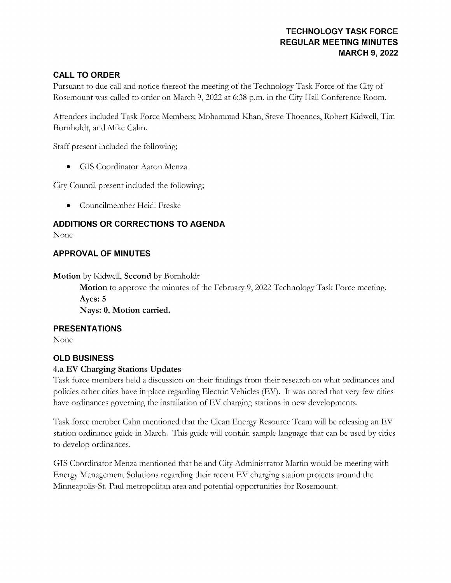## TECHNOLOGY TASK FORCE REGULAR MEETING MINUTES MARCH 9, 2022

# **CALL TO ORDER**

Pursuant to due call and notice thereof the meeting of the Technology Task Force of the City of Rosemount was called to order on March 9, 2022 at 6:38 p.m. in the City Hall Conference Room.

Attendees included Task Force Members: Mohammad Khan, Steve Thoennes, Robert Kidwell, Tim Bornholdt, and Mike Cahn.

Staff present included the following;

**GIS** Coordinator Aaron Menza

City Council present included the following;

Councilmember Heidi Freske  $\bullet$ 

# ADDITIONS OR CORRECTIONS TO AGENDA

None

# **APPROVAL OF MINUTES**

Motion by Kidwell, Second by Bornholdt

Motion to approve the minutes of the February 9, 2022 Technology Task Force meeting. Ayes: 5

Nays: 0. Motion carried.

### PRESENTATIONS

None

# OLD BUSINESS

# 4.a EV Charging Stations Updates

Task force members held a discussion on their findings from their research on what ordinances and policies other cities have in place regarding Electric Vehicles (EV). It was noted that very few cities have ordinances governing the installation of EV charging stations in new developments.

Task force member Cahn mentioned that the Clean Energy Resource Team will be releasing an EV station ordinance guide in March. This guide will contain sample language that can be used by cities to develop ordinances.

GIS Coordinator Menza mentioned that he and City Administrator Martin would be meeting with Energy Management Solutions regarding their recent EV charging station projects around the Minneapolis-St. Paul metropolitan area and potential opportunities for Rosemount.